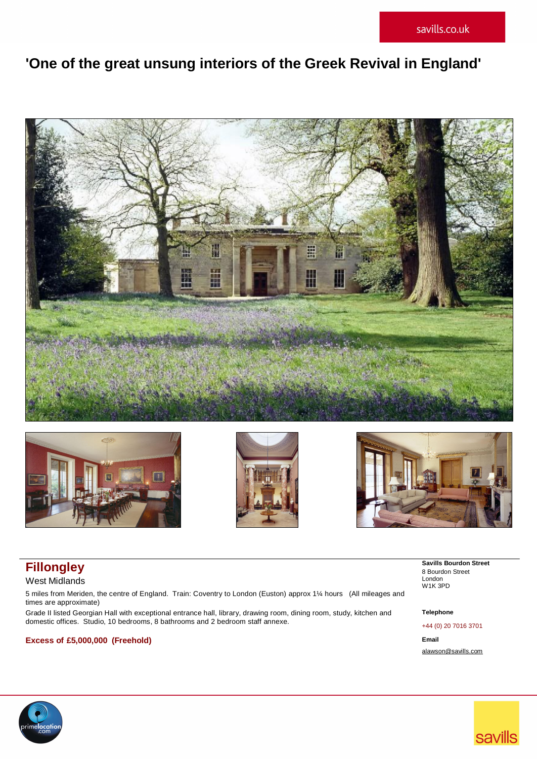# **'One of the great unsung interiors of the Greek Revival in England'**









West Midlands

5 miles from Meriden, the centre of England. Train: Coventry to London (Euston) approx 1¼ hours (All mileages and times are approximate)

Grade II listed Georgian Hall with exceptional entrance hall, library, drawing room, dining room, study, kitchen and domestic offices. Studio, 10 bedrooms, 8 bathrooms and 2 bedroom staff annexe. +44 (0) 20 7016 3701

# **Excess of £5,000,000 (Freehold) Email**

**Fillongley** Savills Bourdon Street *Bourdon Street Bourdon Street* 8 Bourdon Street London W1K 3PD

# **Telephone**

[alawson@savills.com](mailto:alawson@savills.com)

**savills** 

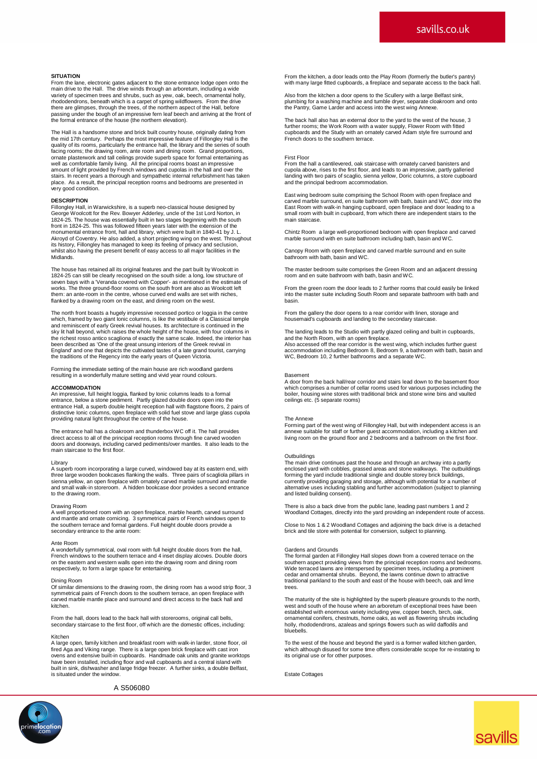### **SITUATION**

From the lane, electronic gates adjacent to the stone entrance lodge open onto the main drive to the Hall. The drive winds through an arboretum, including a wide<br>main drive to the Hall. The drive winds through an arboretum, including a wide<br>variety of specifient trees and shrubs, such as yew, oak, beech, variety of specimen trees and shrubs, such as yew, oak, beech, ornamental holly, rhododendrons, beneath which is a carpet of spring wildflowers. From the drive there are glimpses, through the trees, of the northern aspect of the Hall, before passing under the bough of an impressive fern leaf beech and arriving at the front of the formal entrance of the house (the northern elevation).

The Hall is a handsome stone and brick built country house, originally dating from<br>the mid 17th century. Perhaps the most impressive feature of Fillongley Hall is the<br>quality of its rooms, particularly the entrance hall, t facing rooms; the drawing room, ante room and dining room. Grand proportions,<br>ornate plasterwork and tall ceilings provide superb space for formal entertaining as<br>well as comfortable family living. All the principal room stairs. In recent years a thorough and sympathetic internal refurbishment has taken place. As a result, the principal reception rooms and bedrooms are presented in very good condition.

### **DESCRIPTION**

Fillongley Hall, in Warwickshire, is a superb neo-classical house designed by George Woolcott for the Rev. Bowyer Adderley, uncle of the 1st Lord Norton, in<br>1824-25. The house was essentially built in two stages beginning with the south<br>front in 1824-25. This was followed fifteen years later with th its history, Fillongley has managed to keep its feeling of privacy and seclusion, whilst also having the present benefit of easy access to all major facilities in the Midlands.

The house has retained all its original features and the part built by Woolcott in 1824-25 can still be clearly recognised on the south side: a long, low structure of seven bays with a 'Veranda covered with Copper'- as mentioned in the estimate of works. The three ground-floor rooms on the south front are also as Woolcott left them: an ante-room in the centre, whose curved end walls are set with niches, flanked by a drawing room on the east, and dining room on the west.

The north front boasts a hugely impressive recessed portico or loggia in the centre<br>which, framed by two giant lonic columns, is like the vestibule of a Classical temple<br>and reminiscent of early Greek revival houses. Its a the richest rosso antico scagliona of exactly the same scale. Indeed, the interior has<br>been described as 'One of the great unsung interiors of the Greek revival in<br>England' and one that depicts the cultivated tastes of a l

Forming the immediate setting of the main house are rich woodland gardens resulting in a wonderfully mature setting and vivid year round colours.

### **ACCOMMODATION**

An impressive, full height loggia, flanked by Ionic columns leads to a formal<br>entrance, below a stone pediment. Partly glazed double doors open into the<br>entrance Hall, a superb double height reception hall with flagstone f providing natural light throughout the centre of the house.

The entrance hall has a cloakroom and thunderbox WC off it. The hall provides<br>direct access to all of the principal reception rooms through fine carved wooden<br>doors and doorways, including carved pediments/over mantles. It

Library<br>A superb room incorporating a large curved, windowed bay at its eastern end, with<br>three large wooden bookcases flanking the walls. Three pairs of scagliola pillars in<br>sienna yellow, an open fireplace with ornately and small walk-in storeroom. A hidden bookcase door provides a second entrance to the drawing room.

### Drawing Room

A well proportioned room with an open fireplace, marble hearth, carved surround and mantle and ornate cornicing. 3 symmetrical pairs of French windows open to the southern terrace and formal gardens. Full height double doors provide a secondary entrance to the ante room:

### Ante Room

A wonderfully symmetrical, oval room with full height double doors from the hall,<br>French windows to the southern terrace and 4 inset display alcoves. Double doors<br>on the eastern and western walls open into the drawing room respectively, to form a large space for entertaining.

### Dining Room

Of similar dimensions to the drawing room, the dining room has a wood strip floor, 3 symmetrical pairs of French doors to the southern terrace, an open fireplace with carved marble mantle place and surround and direct access to the back hall and kitchen.

From the hall, doors lead to the back hall with storerooms, original call bells, secondary staircase to the first floor, off which are the domestic offices, including:

Kitchen A large open, family kitchen and breakfast room with walk-in larder, stone floor, oil fired Aga and Viking range. There is a large open brick fireplace with cast iron ovens and extensive built-in cupboards. Handmade oak units and granite worktops have been installed, including floor and wall cupboards and a central island with built in sink, dishwasher and large fridge freezer. A further sinks, a double Belfast, is situated under the window.

A S506080

From the kitchen, a door leads onto the Play Room (formerly the butler's pantry) with many large fitted cupboards, a fireplace and separate access to the back hall.

Also from the kitchen a door opens to the Scullery with a large Belfast sink, plumbing for a washing machine and tumble dryer, separate cloakroom and onto the Pantry, Game Larder and access into the west wing Annexe.

The back hall also has an external door to the yard to the west of the house, 3<br>further rooms; the Work Room with a water supply, Flower Room with fitted<br>cupboards and the Study with an ornately carved Adam style fire surr French doors to the southern terrace.

### First Floor

From the hall a cantilevered, oak staircase with ornately carved banisters and cupola above, rises to the first floor, and leads to an impressive, partly galleried landing with two pairs of scaglio, sienna yellow, Doric columns, a store cupboard and the principal bedroom accommodation.

East wing bedroom suite comprising the School Room with open fireplace and carved marble surround, en suite bathroom with bath, basin and WC, door into the East Room with walk-in hanging cupboard, open fireplace and door leading to a small room with built in cupboard, from which there are independent stairs to the main staircase.

Chintz Room a large well-proportioned bedroom with open fireplace and carved marble surround with en suite bathroom including bath, basin and WC.

Canopy Room with open fireplace and carved marble surround and en suite bathroom with bath, basin and WC.

The master bedroom suite comprises the Green Room and an adjacent dressing room and en suite bathroom with bath, basin and WC.

From the green room the door leads to 2 further rooms that could easily be linked into the master suite including South Room and separate bathroom with bath and basin.

From the gallery the door opens to a rear corridor with linen, storage and housemaid's cupboards and landing to the secondary staircase.

The landing leads to the Studio with partly glazed ceiling and built in cupboards, and the North Room, with an open fireplace. Also accessed off the rear corridor is the west wing, which includes further guest

accommodation including Bedroom 8, Bedroom 9, a bathroom with bath, basin and WC, Bedroom 10, 2 further bathrooms and a separate WC.

### Basement

A door from the back hall/rear corridor and stairs lead down to the basement floor which comprises a number of cellar rooms used for various purposes including the boiler, housing wine stores with traditional brick and stone wine bins and vaulted ceilings etc. (5 separate rooms)

### The Annexe

Forming part of the west wing of Fillongley Hall, but with independent access is an annexe suitable for staff or further guest accommodation, including a kitchen and living room on the ground floor and 2 bedrooms and a bathroom on the first floor.

Outbuildings The main drive continues past the house and through an archway into a partly enclosed yard with cobbles, grassed areas and stone walkways. The outbuildings<br>forming the yard include traditional single and double storey brick buildings,<br>currently providing garaging and storage, although with potenti alternative uses including stabling and further accommodation (subject to planning and listed building consent).

There is also a back drive from the public lane, leading past numbers 1 and 2 Woodland Cottages, directly into the yard providing an independent route of access.

Close to Nos 1 & 2 Woodland Cottages and adjoining the back drive is a detached brick and tile store with potential for conversion, subject to planning.

### Gardens and Grounds

The formal garden at Fillongley Hall slopes down from a covered terrace on the southern aspect providing views from the principal reception rooms and bedrooms. Wide terraced lawns are interspersed by specimen trees, including a prominent cedar and ornamental shrubs. Beyond, the lawns continue down to attractive traditional parkland to the south and east of the house with beech, oak and lime trees.

The maturity of the site is highlighted by the superb pleasure grounds to the north, west and south of the house where an arboretum of exceptional trees have been established with enormous variety including yew, copper beech, birch, oak, ornamental conifers, chestnuts, home oaks, as well as flowering shrubs including holly, rhododendrons, azaleas and springs flowers such as wild daffodils and bluebells.

To the west of the house and beyond the yard is a former walled kitchen garden, which although disused for some time offers considerable scope for re-instating to its original use or for other purposes.

savills

Estate Cottages